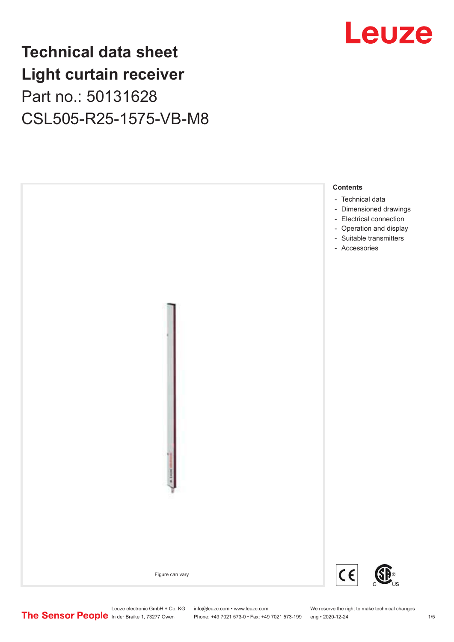## **Technical data sheet Light curtain receiver** Part no.: 50131628 CSL505-R25-1575-VB-M8





Leuze electronic GmbH + Co. KG info@leuze.com • www.leuze.com We reserve the right to make technical changes<br>
The Sensor People in der Braike 1, 73277 Owen Phone: +49 7021 573-0 • Fax: +49 7021 573-199 eng • 2020-12-24

Phone: +49 7021 573-0 • Fax: +49 7021 573-199 eng • 2020-12-24 1 2020-12-24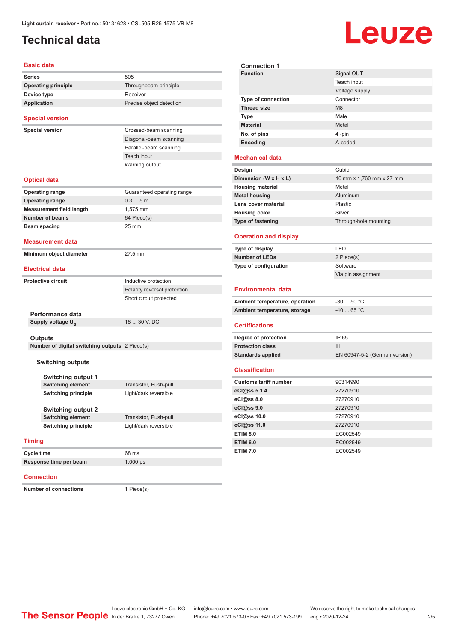### <span id="page-1-0"></span>**Technical data**

# Leuze

**Signal OUT** 

| <b>Basic data</b>                                     |                              |  |  |
|-------------------------------------------------------|------------------------------|--|--|
| <b>Series</b>                                         | 505                          |  |  |
| <b>Operating principle</b>                            | Throughbeam principle        |  |  |
| Device type                                           | Receiver                     |  |  |
| <b>Application</b>                                    | Precise object detection     |  |  |
| <b>Special version</b>                                |                              |  |  |
| <b>Special version</b>                                | Crossed-beam scanning        |  |  |
|                                                       | Diagonal-beam scanning       |  |  |
|                                                       | Parallel-beam scanning       |  |  |
|                                                       | Teach input                  |  |  |
|                                                       | Warning output               |  |  |
| <b>Optical data</b>                                   |                              |  |  |
| <b>Operating range</b>                                | Guaranteed operating range   |  |  |
| <b>Operating range</b>                                | 0.35m                        |  |  |
| <b>Measurement field length</b>                       | 1,575 mm                     |  |  |
| Number of beams                                       | 64 Piece(s)                  |  |  |
| Beam spacing                                          | 25 mm                        |  |  |
| Measurement data                                      |                              |  |  |
| Minimum object diameter                               | 27.5 mm                      |  |  |
| <b>Electrical data</b>                                |                              |  |  |
| <b>Protective circuit</b>                             | Inductive protection         |  |  |
|                                                       | Polarity reversal protection |  |  |
|                                                       | Short circuit protected      |  |  |
|                                                       |                              |  |  |
| Performance data                                      |                              |  |  |
| Supply voltage $U_{\rm B}$                            | 18  30 V, DC                 |  |  |
|                                                       |                              |  |  |
| <b>Outputs</b>                                        |                              |  |  |
| Number of digital switching outputs 2 Piece(s)        |                              |  |  |
| <b>Switching outputs</b>                              |                              |  |  |
|                                                       |                              |  |  |
| <b>Switching output 1</b><br><b>Switching element</b> | Transistor, Push-pull        |  |  |
| <b>Switching principle</b>                            | Light/dark reversible        |  |  |
|                                                       |                              |  |  |
| <b>Switching output 2</b>                             |                              |  |  |
| <b>Switching element</b>                              | Transistor, Push-pull        |  |  |
| Switching principle                                   | Light/dark reversible        |  |  |
|                                                       |                              |  |  |
| <b>Timing</b>                                         |                              |  |  |
| Cycle time                                            | 68 ms                        |  |  |
| Response time per beam                                | $1,000 \,\mu s$              |  |  |
|                                                       |                              |  |  |

#### **Connection**

**Number of connections** 1 Piece(s)

|                                | Teach input                   |
|--------------------------------|-------------------------------|
|                                | Voltage supply                |
| <b>Type of connection</b>      | Connector                     |
| <b>Thread size</b>             | M8                            |
| <b>Type</b>                    | Male                          |
| <b>Material</b>                | Metal                         |
| No. of pins                    | 4-pin                         |
| Encoding                       | A-coded                       |
| <b>Mechanical data</b>         |                               |
| Design                         | Cubic                         |
| Dimension (W x H x L)          | 10 mm x 1,760 mm x 27 mm      |
| <b>Housing material</b>        | Metal                         |
| <b>Metal housing</b>           | Aluminum                      |
| Lens cover material            | Plastic                       |
| <b>Housing color</b>           | Silver                        |
| Type of fastening              | Through-hole mounting         |
| <b>Operation and display</b>   |                               |
| Type of display                | LED                           |
| <b>Number of LEDs</b>          | 2 Piece(s)                    |
| Type of configuration          | Software                      |
|                                | Via pin assignment            |
| <b>Environmental data</b>      |                               |
| Ambient temperature, operation | $-3050 °C$                    |
| Ambient temperature, storage   | $-4065 °C$                    |
| <b>Certifications</b>          |                               |
| Degree of protection           | IP 65                         |
| <b>Protection class</b>        | III                           |
| <b>Standards applied</b>       | EN 60947-5-2 (German version) |
| <b>Classification</b>          |                               |
| <b>Customs tariff number</b>   | 90314990                      |
| eCl@ss 5.1.4                   | 27270910                      |
| eCl@ss 8.0                     | 27270910                      |
| eCl@ss 9.0                     | 27270910                      |
| eCl@ss 10.0                    | 27270910                      |
| eCl@ss 11.0                    | 27270910                      |
| <b>ETIM 5.0</b>                | EC002549                      |
| <b>ETIM 6.0</b>                | EC002549                      |
| <b>ETIM 7.0</b>                | EC002549                      |
|                                |                               |

**Connection 1**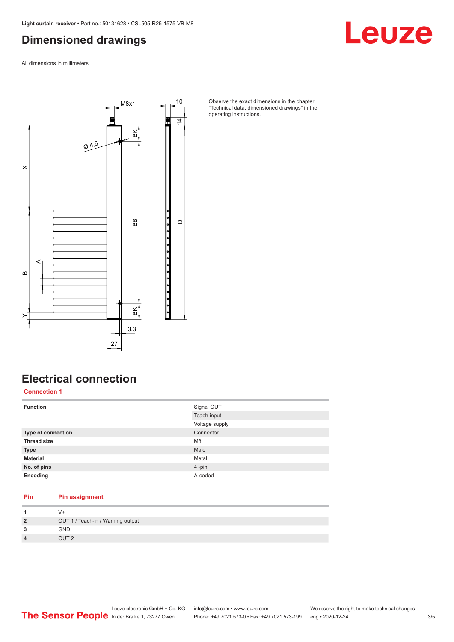#### <span id="page-2-0"></span>**Dimensioned drawings**

Leuze

All dimensions in millimeters



Observe the exact dimensions in the chapter "Technical data, dimensioned drawings" in the operating instructions.

### **Electrical connection**

**Connection 1**

| <b>Function</b>           | Signal OUT     |
|---------------------------|----------------|
|                           | Teach input    |
|                           | Voltage supply |
| <b>Type of connection</b> | Connector      |
| <b>Thread size</b>        | M <sub>8</sub> |
| <b>Type</b>               | Male           |
| <b>Material</b>           | Metal          |
| No. of pins               | 4-pin          |
| Encoding                  | A-coded        |

#### **Pin Pin assignment**

| $\overline{2}$          | OUT 1 / Teach-in / Warning output |
|-------------------------|-----------------------------------|
| 3                       | <b>GND</b>                        |
| $\overline{\mathbf{A}}$ | OUT <sub>2</sub>                  |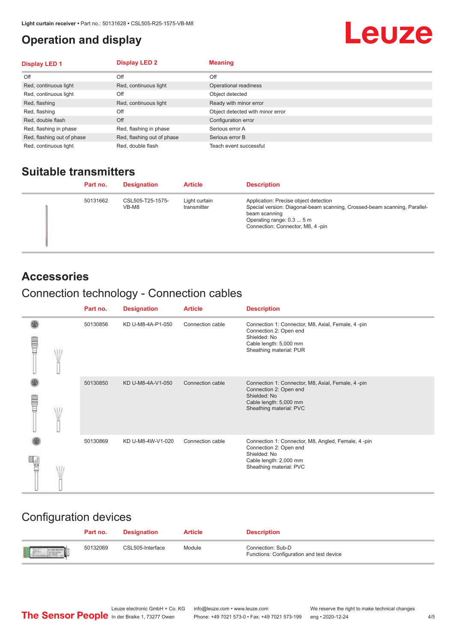#### <span id="page-3-0"></span>**Operation and display**

## Leuze

| <b>Display LED 1</b>       | <b>Display LED 2</b>       | <b>Meaning</b>                   |
|----------------------------|----------------------------|----------------------------------|
| Off                        | Off                        | Off                              |
| Red, continuous light      | Red, continuous light      | Operational readiness            |
| Red, continuous light      | Off                        | Object detected                  |
| Red, flashing              | Red, continuous light      | Ready with minor error           |
| Red, flashing              | Off                        | Object detected with minor error |
| Red, double flash          | Off                        | Configuration error              |
| Red, flashing in phase     | Red, flashing in phase     | Serious error A                  |
| Red, flashing out of phase | Red, flashing out of phase | Serious error B                  |
| Red, continuous light      | Red, double flash          | Teach event successful           |

#### **Suitable transmitters**

| Part no. | <b>Designation</b>        | <b>Article</b>               | <b>Description</b>                                                                                                                                                                                   |
|----------|---------------------------|------------------------------|------------------------------------------------------------------------------------------------------------------------------------------------------------------------------------------------------|
| 50131662 | CSL505-T25-1575-<br>VB-M8 | Light curtain<br>transmitter | Application: Precise object detection<br>Special version: Diagonal-beam scanning, Crossed-beam scanning, Parallel-<br>beam scanning<br>Operating range: 0.3  5 m<br>Connection: Connector, M8, 4-pin |

#### **Accessories**

### Connection technology - Connection cables

|   | Part no. | <b>Designation</b> | <b>Article</b>   | <b>Description</b>                                                                                                                                |
|---|----------|--------------------|------------------|---------------------------------------------------------------------------------------------------------------------------------------------------|
| ŧ | 50130856 | KD U-M8-4A-P1-050  | Connection cable | Connection 1: Connector, M8, Axial, Female, 4-pin<br>Connection 2: Open end<br>Shielded: No<br>Cable length: 5,000 mm<br>Sheathing material: PUR  |
|   | 50130850 | KD U-M8-4A-V1-050  | Connection cable | Connection 1: Connector, M8, Axial, Female, 4 -pin<br>Connection 2: Open end<br>Shielded: No<br>Cable length: 5,000 mm<br>Sheathing material: PVC |
|   | 50130869 | KD U-M8-4W-V1-020  | Connection cable | Connection 1: Connector, M8, Angled, Female, 4-pin<br>Connection 2: Open end<br>Shielded: No<br>Cable length: 2,000 mm<br>Sheathing material: PVC |

#### Configuration devices

|                          | Part no. | <b>Designation</b> | <b>Article</b> | <b>Description</b>                                            |
|--------------------------|----------|--------------------|----------------|---------------------------------------------------------------|
| <b>Expertise Service</b> | 50132069 | CSL505-Interface   | Module         | Connection: Sub-D<br>Functions: Configuration and test device |